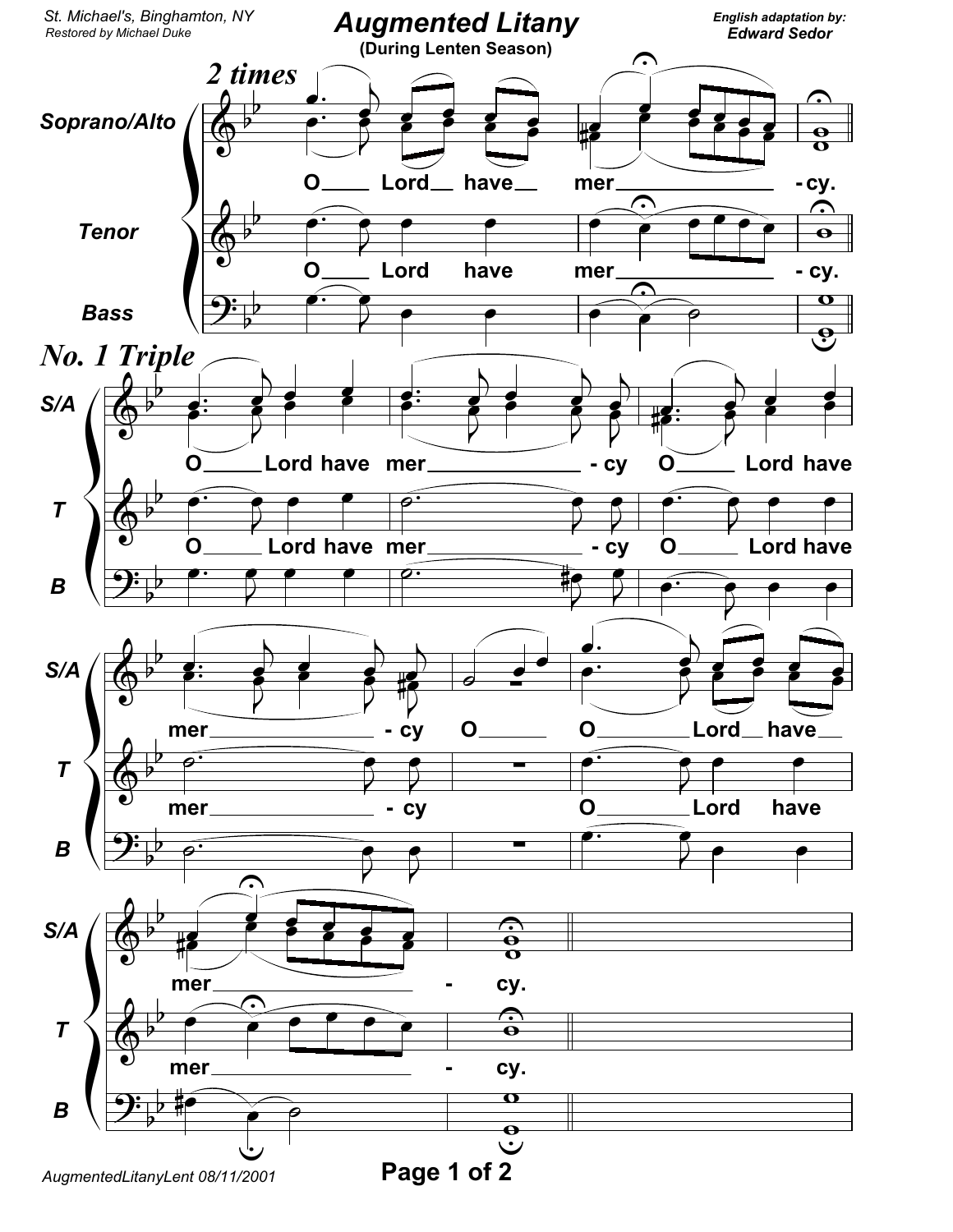